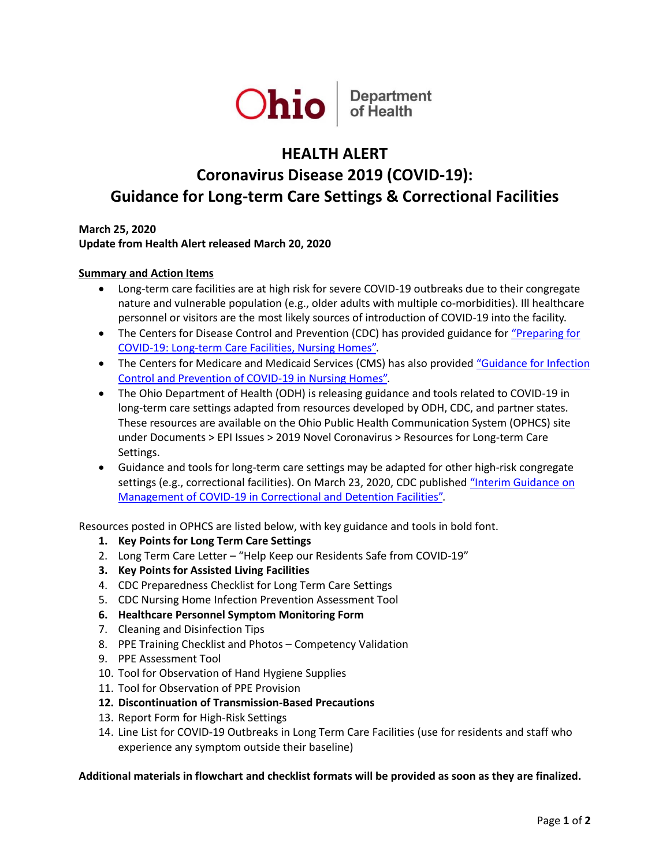

## **HEALTH ALERT**

# **Coronavirus Disease 2019 (COVID-19): Guidance for Long-term Care Settings & Correctional Facilities**

**March 25, 2020 Update from Health Alert released March 20, 2020**

#### **Summary and Action Items**

- Long-term care facilities are at high risk for severe COVID-19 outbreaks due to their congregate nature and vulnerable population (e.g., older adults with multiple co-morbidities). Ill healthcare personnel or visitors are the most likely sources of introduction of COVID-19 into the facility.
- The Centers for Disease Control and Prevention (CDC) has provided guidance for "Preparing for [COVID-19: Long-term Care Facilities, Nursing Homes".](https://www.cdc.gov/coronavirus/2019-ncov/healthcare-facilities/prevent-spread-in-long-term-care-facilities.html)
- The Centers for Medicare and Medicaid Services (CMS) has also provided "Guidance for Infection [Control and Prevention of COVID-19 in Nursing Homes".](https://www.cms.gov/files/document/3-13-2020-nursing-home-guidance-covid-19.pdf)
- The Ohio Department of Health (ODH) is releasing guidance and tools related to COVID-19 in long-term care settings adapted from resources developed by ODH, CDC, and partner states. These resources are available on the Ohio Public Health Communication System (OPHCS) site under Documents > EPI Issues > 2019 Novel Coronavirus > Resources for Long-term Care Settings.
- Guidance and tools for long-term care settings may be adapted for other high-risk congregate settings (e.g., correctional facilities). On March 23, 2020, CDC published ["Interim Guidance on](https://www.cdc.gov/coronavirus/2019-ncov/community/correction-detention/guidance-correctional-detention.html)  [Management of COVID-19 in Correctional and Detention Facilities".](https://www.cdc.gov/coronavirus/2019-ncov/community/correction-detention/guidance-correctional-detention.html)

Resources posted in OPHCS are listed below, with key guidance and tools in bold font.

- **1. Key Points for Long Term Care Settings**
- 2. Long Term Care Letter "Help Keep our Residents Safe from COVID-19"
- **3. Key Points for Assisted Living Facilities**
- 4. CDC Preparedness Checklist for Long Term Care Settings
- 5. CDC Nursing Home Infection Prevention Assessment Tool
- **6. Healthcare Personnel Symptom Monitoring Form**
- 7. Cleaning and Disinfection Tips
- 8. PPE Training Checklist and Photos Competency Validation
- 9. PPE Assessment Tool
- 10. Tool for Observation of Hand Hygiene Supplies
- 11. Tool for Observation of PPE Provision
- **12. Discontinuation of Transmission-Based Precautions**
- 13. Report Form for High-Risk Settings
- 14. Line List for COVID-19 Outbreaks in Long Term Care Facilities (use for residents and staff who experience any symptom outside their baseline)

#### **Additional materials in flowchart and checklist formats will be provided as soon as they are finalized.**